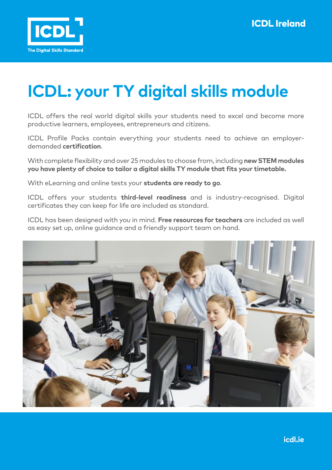

## **ICDL: your TY digital skills module**

ICDL offers the real world digital skills your students need to excel and become more productive learners, employees, entrepreneurs and citizens.

ICDL Profile Packs contain everything your students need to achieve an employerdemanded **certification**.

With complete flexibility and over 25 modules to choose from, including **new STEM modules you have plenty of choice to tailor a digital skills TY module that fits your timetable.**

With eLearning and online tests your **students are ready to go**.

ICDL offers your students **third-level readiness** and is industry-recognised. Digital certificates they can keep for life are included as standard.

ICDL has been designed with you in mind. **Free resources for teachers** are included as well as easy set up, online guidance and a friendly support team on hand.